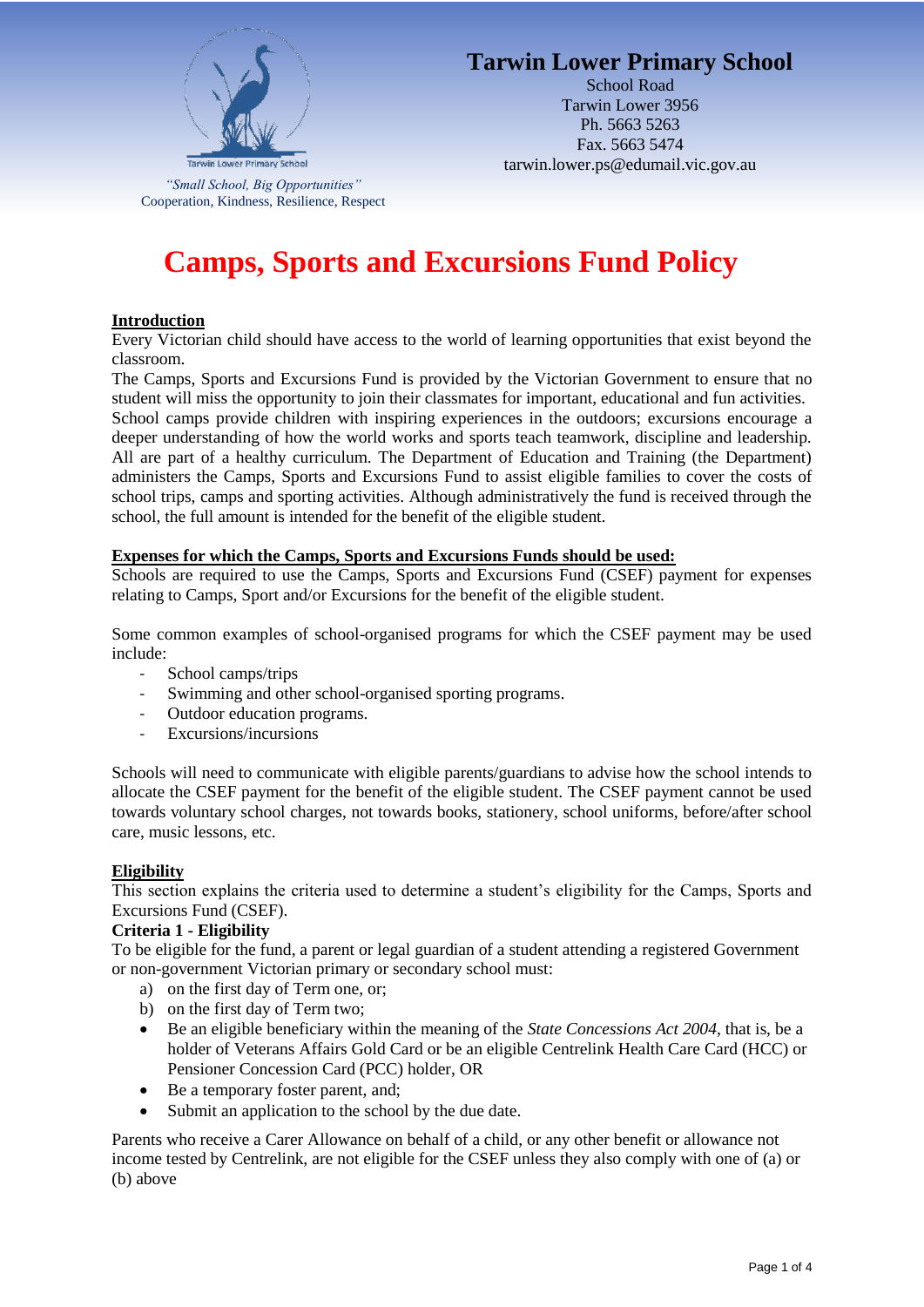

# **Tarwin Lower Primary School**

School Road Tarwin Lower 3956 Ph. 5663 5263 Fax. 5663 5474 tarwin.lower.ps@edumail.vic.gov.au

*"Small School, Big Opportunities"* Cooperation, Kindness, Resilience, Respect

# **Camps, Sports and Excursions Fund Policy**

#### **Introduction**

Every Victorian child should have access to the world of learning opportunities that exist beyond the classroom.

The Camps, Sports and Excursions Fund is provided by the Victorian Government to ensure that no student will miss the opportunity to join their classmates for important, educational and fun activities. School camps provide children with inspiring experiences in the outdoors; excursions encourage a deeper understanding of how the world works and sports teach teamwork, discipline and leadership. All are part of a healthy curriculum. The Department of Education and Training (the Department)

administers the Camps, Sports and Excursions Fund to assist eligible families to cover the costs of school trips, camps and sporting activities. Although administratively the fund is received through the school, the full amount is intended for the benefit of the eligible student.

#### **Expenses for which the Camps, Sports and Excursions Funds should be used:**

Schools are required to use the Camps, Sports and Excursions Fund (CSEF) payment for expenses relating to Camps, Sport and/or Excursions for the benefit of the eligible student.

Some common examples of school-organised programs for which the CSEF payment may be used include:

- School camps/trips
- Swimming and other school-organised sporting programs.
- Outdoor education programs.
- Excursions/incursions

Schools will need to communicate with eligible parents/guardians to advise how the school intends to allocate the CSEF payment for the benefit of the eligible student. The CSEF payment cannot be used towards voluntary school charges, not towards books, stationery, school uniforms, before/after school care, music lessons, etc.

#### **Eligibility**

This section explains the criteria used to determine a student's eligibility for the Camps, Sports and Excursions Fund (CSEF).

#### **Criteria 1 - Eligibility**

To be eligible for the fund, a parent or legal guardian of a student attending a registered Government or non-government Victorian primary or secondary school must:

- a) on the first day of Term one, or;
- b) on the first day of Term two;
- Be an eligible beneficiary within the meaning of the *State Concessions Act 2004*, that is, be a holder of Veterans Affairs Gold Card or be an eligible Centrelink Health Care Card (HCC) or Pensioner Concession Card (PCC) holder, OR
- Be a temporary foster parent, and;
- Submit an application to the school by the due date.

Parents who receive a Carer Allowance on behalf of a child, or any other benefit or allowance not income tested by Centrelink, are not eligible for the CSEF unless they also comply with one of (a) or (b) above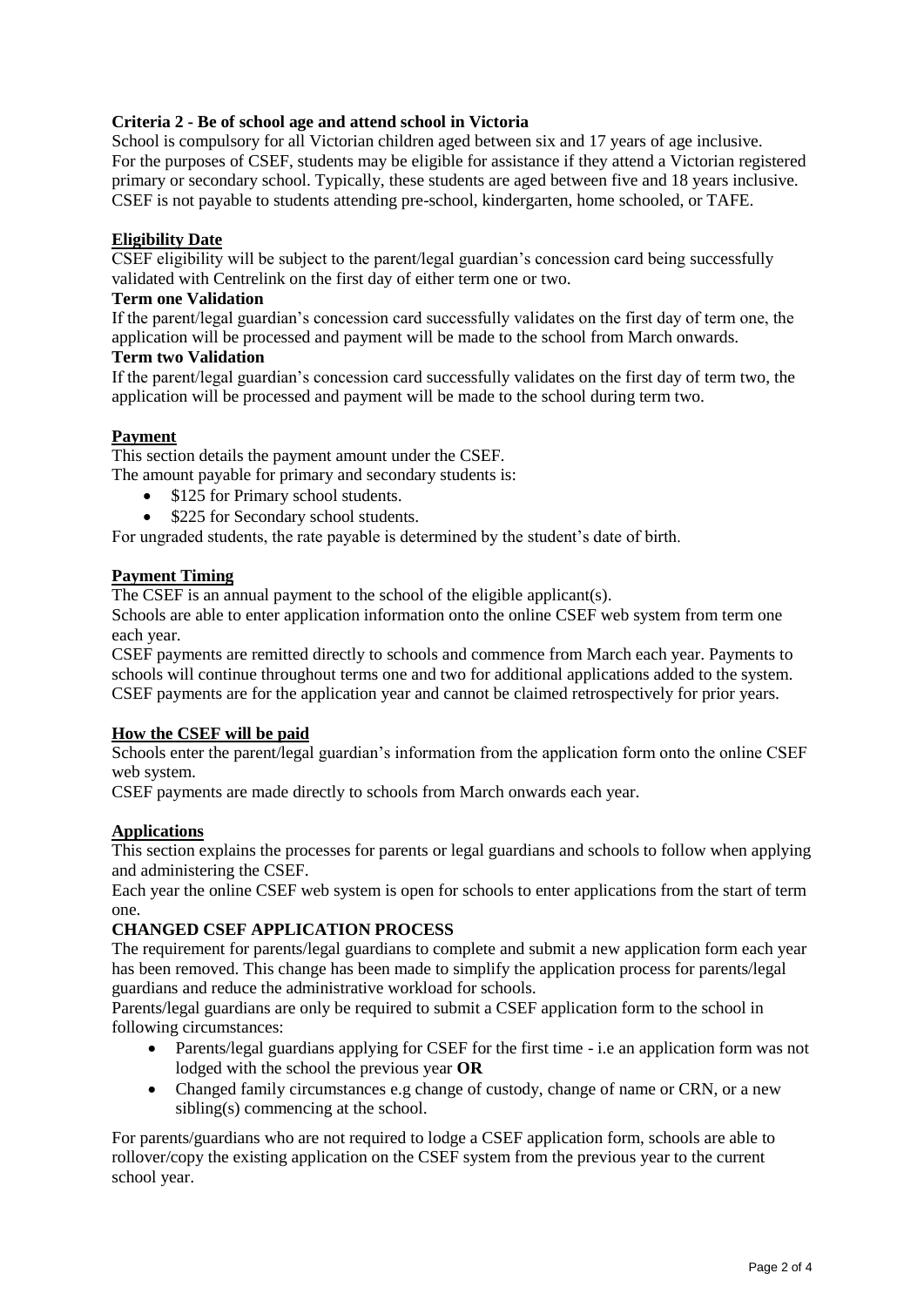# **Criteria 2 - Be of school age and attend school in Victoria**

School is compulsory for all Victorian children aged between six and 17 years of age inclusive. For the purposes of CSEF, students may be eligible for assistance if they attend a Victorian registered primary or secondary school. Typically, these students are aged between five and 18 years inclusive. CSEF is not payable to students attending pre-school, kindergarten, home schooled, or TAFE.

#### **Eligibility Date**

CSEF eligibility will be subject to the parent/legal guardian's concession card being successfully validated with Centrelink on the first day of either term one or two.

#### **Term one Validation**

If the parent/legal guardian's concession card successfully validates on the first day of term one, the application will be processed and payment will be made to the school from March onwards.

#### **Term two Validation**

If the parent/legal guardian's concession card successfully validates on the first day of term two, the application will be processed and payment will be made to the school during term two.

# **Payment**

This section details the payment amount under the CSEF.

The amount payable for primary and secondary students is:

- \$125 for Primary school students.
- \$225 for Secondary school students.

For ungraded students, the rate payable is determined by the student's date of birth.

# **Payment Timing**

The CSEF is an annual payment to the school of the eligible applicant(s).

Schools are able to enter application information onto the online CSEF web system from term one each year.

CSEF payments are remitted directly to schools and commence from March each year. Payments to schools will continue throughout terms one and two for additional applications added to the system. CSEF payments are for the application year and cannot be claimed retrospectively for prior years.

#### **How the CSEF will be paid**

Schools enter the parent/legal guardian's information from the application form onto the online CSEF web system.

CSEF payments are made directly to schools from March onwards each year.

#### **Applications**

This section explains the processes for parents or legal guardians and schools to follow when applying and administering the CSEF.

Each year the online CSEF web system is open for schools to enter applications from the start of term one.

#### **CHANGED CSEF APPLICATION PROCESS**

The requirement for parents/legal guardians to complete and submit a new application form each year has been removed. This change has been made to simplify the application process for parents/legal guardians and reduce the administrative workload for schools.

Parents/legal guardians are only be required to submit a CSEF application form to the school in following circumstances:

- Parents/legal guardians applying for CSEF for the first time i.e an application form was not lodged with the school the previous year **OR**
- Changed family circumstances e.g change of custody, change of name or CRN, or a new sibling(s) commencing at the school.

For parents/guardians who are not required to lodge a CSEF application form, schools are able to rollover/copy the existing application on the CSEF system from the previous year to the current school year.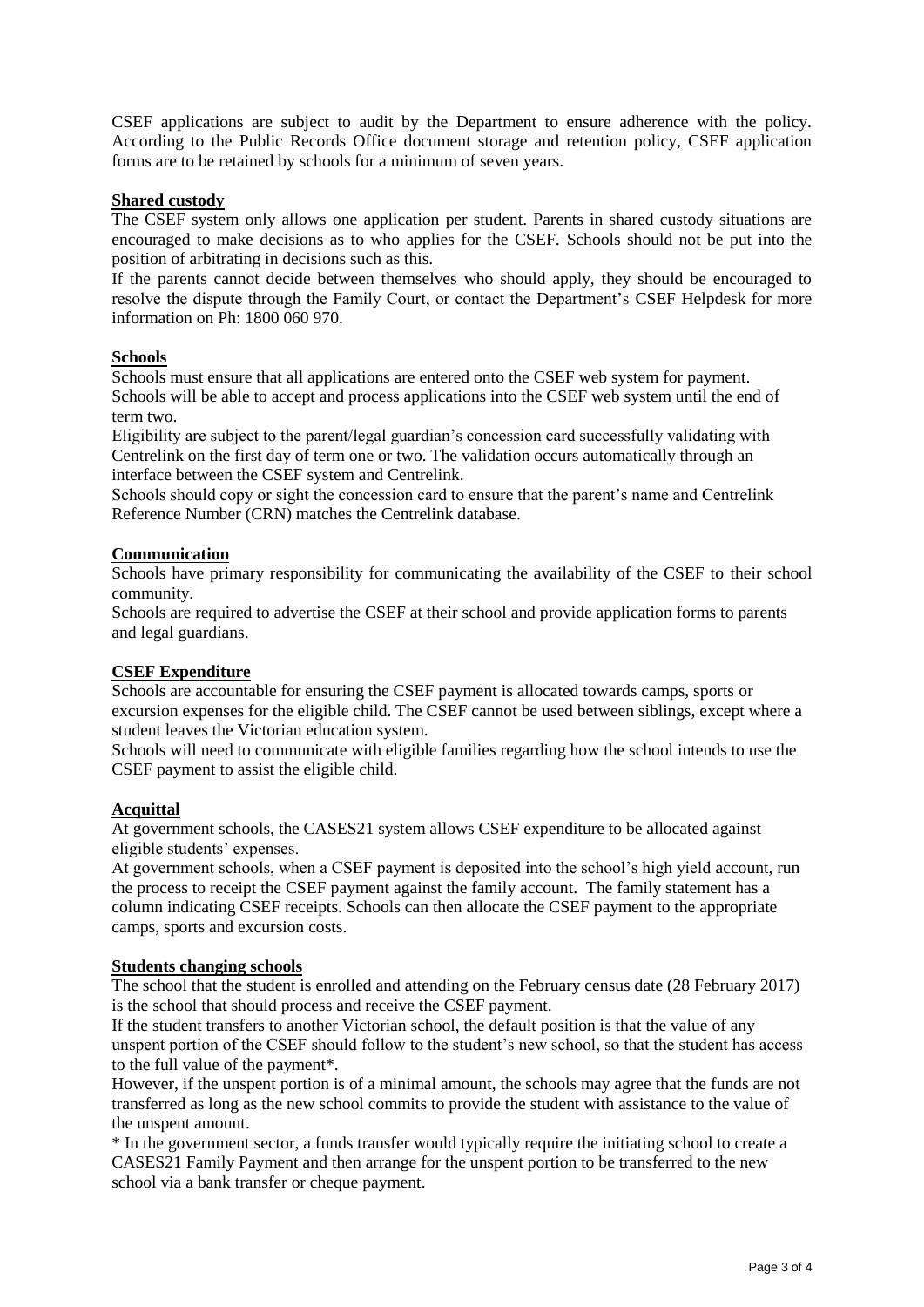CSEF applications are subject to audit by the Department to ensure adherence with the policy. According to the Public Records Office document storage and retention policy, CSEF application forms are to be retained by schools for a minimum of seven years.

# **Shared custody**

The CSEF system only allows one application per student. Parents in shared custody situations are encouraged to make decisions as to who applies for the CSEF. Schools should not be put into the position of arbitrating in decisions such as this.

If the parents cannot decide between themselves who should apply, they should be encouraged to resolve the dispute through the Family Court, or contact the Department's CSEF Helpdesk for more information on Ph: 1800 060 970.

# **Schools**

Schools must ensure that all applications are entered onto the CSEF web system for payment. Schools will be able to accept and process applications into the CSEF web system until the end of term two.

Eligibility are subject to the parent/legal guardian's concession card successfully validating with Centrelink on the first day of term one or two. The validation occurs automatically through an interface between the CSEF system and Centrelink.

Schools should copy or sight the concession card to ensure that the parent's name and Centrelink Reference Number (CRN) matches the Centrelink database.

# **Communication**

Schools have primary responsibility for communicating the availability of the CSEF to their school community.

Schools are required to advertise the CSEF at their school and provide application forms to parents and legal guardians.

# **CSEF Expenditure**

Schools are accountable for ensuring the CSEF payment is allocated towards camps, sports or excursion expenses for the eligible child. The CSEF cannot be used between siblings, except where a student leaves the Victorian education system.

Schools will need to communicate with eligible families regarding how the school intends to use the CSEF payment to assist the eligible child.

#### **Acquittal**

At government schools, the CASES21 system allows CSEF expenditure to be allocated against eligible students' expenses.

At government schools, when a CSEF payment is deposited into the school's high yield account, run the process to receipt the CSEF payment against the family account. The family statement has a column indicating CSEF receipts. Schools can then allocate the CSEF payment to the appropriate camps, sports and excursion costs.

#### **Students changing schools**

The school that the student is enrolled and attending on the February census date (28 February 2017) is the school that should process and receive the CSEF payment.

If the student transfers to another Victorian school, the default position is that the value of any unspent portion of the CSEF should follow to the student's new school, so that the student has access to the full value of the payment\*.

However, if the unspent portion is of a minimal amount, the schools may agree that the funds are not transferred as long as the new school commits to provide the student with assistance to the value of the unspent amount.

\* In the government sector, a funds transfer would typically require the initiating school to create a CASES21 Family Payment and then arrange for the unspent portion to be transferred to the new school via a bank transfer or cheque payment.